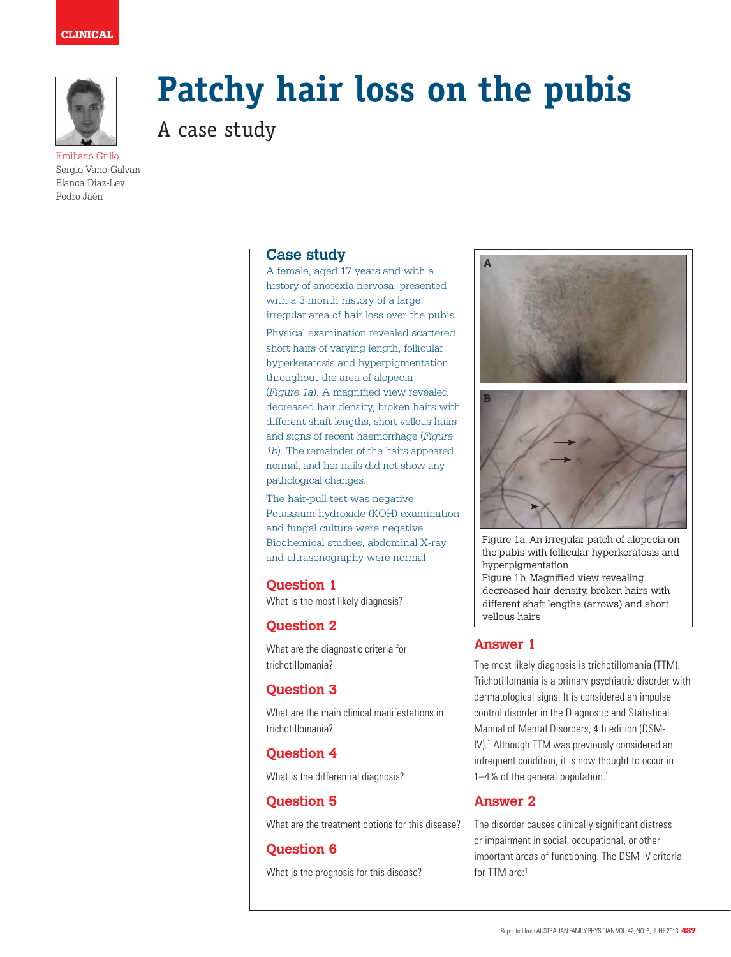

Emiliano Grillo Sergio Vano-Galvan Blanca Diaz-Ley Pedro Jaén

# **Patchy hair loss on the pubis**

A case study

# **Case study**

A female, aged 17 years and with a history of anorexia nervosa, presented with a 3 month history of a large, irregular area of hair loss over the pubis.

Physical examination revealed scattered short hairs of varying length, follicular hyperkeratosis and hyperpigmentation throughout the area of alopecia (*Figure 1a*). A magnified view revealed decreased hair density, broken hairs with different shaft lengths, short vellous hairs and signs of recent haemorrhage (*Figure 1b*). The remainder of the hairs appeared normal, and her nails did not show any pathological changes.

The hair-pull test was negative. Potassium hydroxide (KOH) examination and fungal culture were negative. Biochemical studies, abdominal X-ray and ultrasonography were normal.

#### **Question 1**

What is the most likely diagnosis?

# **Question 2**

What are the diagnostic criteria for trichotillomania?

# **Question 3**

What are the main clinical manifestations in trichotillomania?

## **Question 4**

What is the differential diagnosis?

# **Question 5**

What are the treatment options for this disease?

## **Question 6**

What is the prognosis for this disease?





Figure 1a. An irregular patch of alopecia on the pubis with follicular hyperkeratosis and hyperpigmentation Figure 1b. Magnified view revealing decreased hair density, broken hairs with different shaft lengths (arrows) and short vellous hairs

# **Answer 1**

The most likely diagnosis is trichotillomania (TTM). Trichotillomania is a primary psychiatric disorder with dermatological signs. It is considered an impulse control disorder in the Diagnostic and Statistical Manual of Mental Disorders, 4th edition (DSM-IV).<sup>1</sup> Although TTM was previously considered an infrequent condition, it is now thought to occur in 1–4% of the general population.1

## **Answer 2**

The disorder causes clinically significant distress or impairment in social, occupational, or other important areas of functioning. The DSM-IV criteria for TTM are:1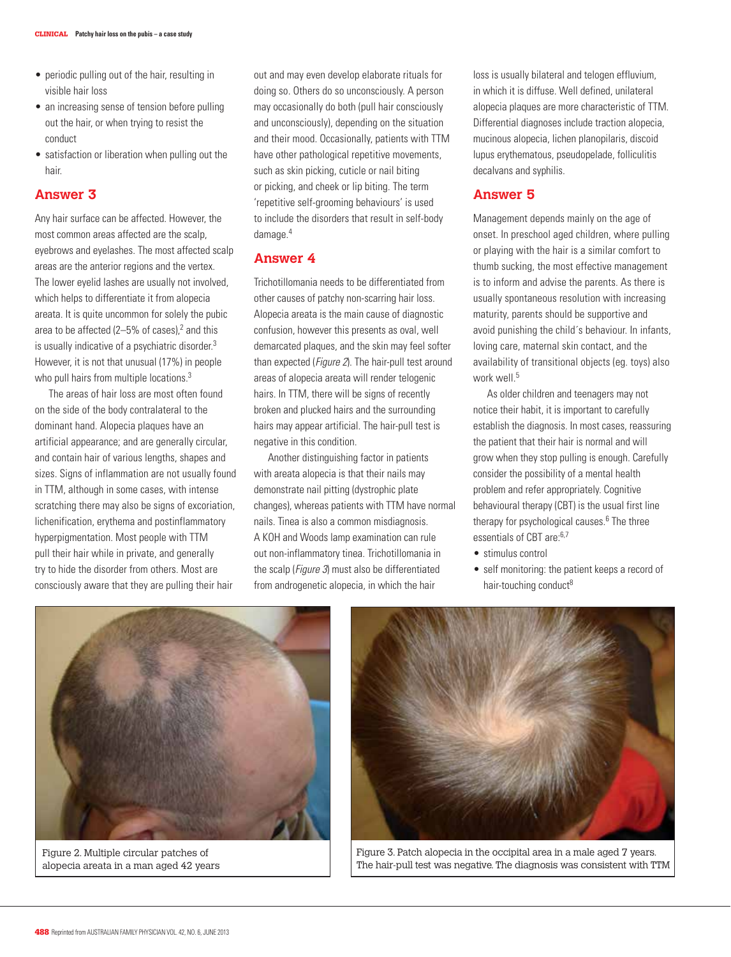- periodic pulling out of the hair, resulting in visible hair loss
- an increasing sense of tension before pulling out the hair, or when trying to resist the conduct
- satisfaction or liberation when pulling out the hair.

#### **Answer 3**

Any hair surface can be affected. However, the most common areas affected are the scalp, eyebrows and eyelashes. The most affected scalp areas are the anterior regions and the vertex. The lower eyelid lashes are usually not involved, which helps to differentiate it from alopecia areata. It is quite uncommon for solely the pubic area to be affected (2–5% of cases), $2$  and this is usually indicative of a psychiatric disorder.<sup>3</sup> However, it is not that unusual (17%) in people who pull hairs from multiple locations.<sup>3</sup>

The areas of hair loss are most often found on the side of the body contralateral to the dominant hand. Alopecia plaques have an artificial appearance; and are generally circular, and contain hair of various lengths, shapes and sizes. Signs of inflammation are not usually found in TTM, although in some cases, with intense scratching there may also be signs of excoriation, lichenification, erythema and postinflammatory hyperpigmentation. Most people with TTM pull their hair while in private, and generally try to hide the disorder from others. Most are consciously aware that they are pulling their hair

out and may even develop elaborate rituals for doing so. Others do so unconsciously. A person may occasionally do both (pull hair consciously and unconsciously), depending on the situation and their mood. Occasionally, patients with TTM have other pathological repetitive movements, such as skin picking, cuticle or nail biting or picking, and cheek or lip biting. The term 'repetitive self-grooming behaviours' is used to include the disorders that result in self-body damage.4

#### **Answer 4**

Trichotillomania needs to be differentiated from other causes of patchy non-scarring hair loss. Alopecia areata is the main cause of diagnostic confusion, however this presents as oval, well demarcated plaques, and the skin may feel softer than expected (Figure 2). The hair-pull test around areas of alopecia areata will render telogenic hairs. In TTM, there will be signs of recently broken and plucked hairs and the surrounding hairs may appear artificial. The hair-pull test is negative in this condition.

Another distinguishing factor in patients with areata alopecia is that their nails may demonstrate nail pitting (dystrophic plate changes), whereas patients with TTM have normal nails. Tinea is also a common misdiagnosis. A KOH and Woods lamp examination can rule out non-inflammatory tinea. Trichotillomania in the scalp (Figure 3) must also be differentiated from androgenetic alopecia, in which the hair

loss is usually bilateral and telogen effluvium, in which it is diffuse. Well defined, unilateral alopecia plaques are more characteristic of TTM. Differential diagnoses include traction alopecia, mucinous alopecia, lichen planopilaris, discoid lupus erythematous, pseudopelade, folliculitis decalvans and syphilis.

#### **Answer 5**

Management depends mainly on the age of onset. In preschool aged children, where pulling or playing with the hair is a similar comfort to thumb sucking, the most effective management is to inform and advise the parents. As there is usually spontaneous resolution with increasing maturity, parents should be supportive and avoid punishing the child´s behaviour. In infants, loving care, maternal skin contact, and the availability of transitional objects (eg. toys) also work well.<sup>5</sup>

As older children and teenagers may not notice their habit, it is important to carefully establish the diagnosis. In most cases, reassuring the patient that their hair is normal and will grow when they stop pulling is enough. Carefully consider the possibility of a mental health problem and refer appropriately. Cognitive behavioural therapy (CBT) is the usual first line therapy for psychological causes.<sup>6</sup> The three essentials of CBT are:6,7

- stimulus control
- self monitoring: the patient keeps a record of hair-touching conduct<sup>8</sup>



Figure 2. Multiple circular patches of alopecia areata in a man aged 42 years



Figure 3. Patch alopecia in the occipital area in a male aged 7 years. The hair-pull test was negative. The diagnosis was consistent with TTM